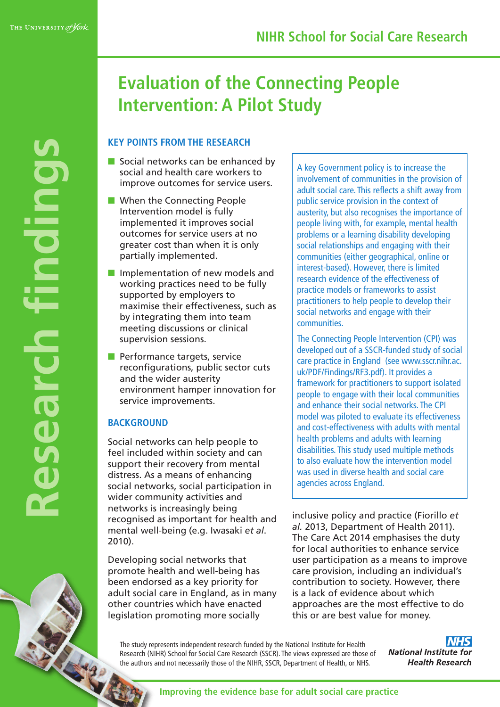**R**

**e**

**s**

**e**

**a**

**r**

**c**

**h**

**fi**

**n**

**d** 

**i**

**n**

**g**

**s**

# **Evaluation of the Connecting People Intervention: A Pilot Study**

# **KEY POINTS FROM THE RESEARCH**

- $\blacksquare$  Social networks can be enhanced by social and health care workers to improve outcomes for service users.
- $\blacksquare$  When the Connecting People Intervention model is fully implemented it improves social outcomes for service users at no greater cost than when it is only partially implemented.
- $\blacksquare$  Implementation of new models and working practices need to be fully supported by employers to maximise their effectiveness, such as by integrating them into team meeting discussions or clinical supervision sessions.
- $\blacksquare$  Performance targets, service reconfigurations, public sector cuts and the wider austerity environment hamper innovation for service improvements.

### **BACKGROUND**

Social networks can help people to feel included within society and can support their recovery from mental distress. As a means of enhancing social networks, social participation in wider community activities and networks is increasingly being recognised as important for health and mental well-being (e.g. Iwasaki *et al*. 2010).

Developing social networks that promote health and well-being has been endorsed as a key priority for adult social care in England, as in many other countries which have enacted legislation promoting more socially

A key Government policy is to increase the involvement of communities in the provision of adult social care. This reflects a shift away from public service provision in the context of austerity, but also recognises the importance of people living with, for example, mental health problems or a learning disability developing social relationships and engaging with their communities (either geographical, online or interest-based). However, there is limited research evidence of the effectiveness of practice models or frameworks to assist practitioners to help people to develop their social networks and engage with their communities.

The Connecting People Intervention (CPI) was developed out of a SSCR-funded study of social care practice in England (see www.sscr.nihr.ac. [uk/PDF/Findings/RF3.pdf\).](http://www.sscr.nihr.ac.uk/PDF/Findings/RF3.pdf) It provides a framework for practitioners to support isolated people to engage with their local communities and enhance their social networks. The CPI model was piloted to evaluate its effectiveness and cost-effectiveness with adults with mental health problems and adults with learning disabilities. This study used multiple methods to also evaluate how the intervention model was used in diverse health and social care agencies across England.

inclusive policy and practice (Fiorillo *et al.* 2013, Department of Health 2011). The Care Act 2014 emphasises the duty for local authorities to enhance service user participation as a means to improve care provision, including an individual's contribution to society. However, there is a lack of evidence about which approaches are the most effective to do this or are best value for money.

The study represents independent research funded by the National Institute for Health Research (NIHR) School for Social Care Research (SSCR). The views expressed are those of the authors and not necessarily those of the NIHR, SSCR, Department of Health, or NHS.

**NHS National Institute for Health Research** 

**Improving the evidence base for adult social care practice**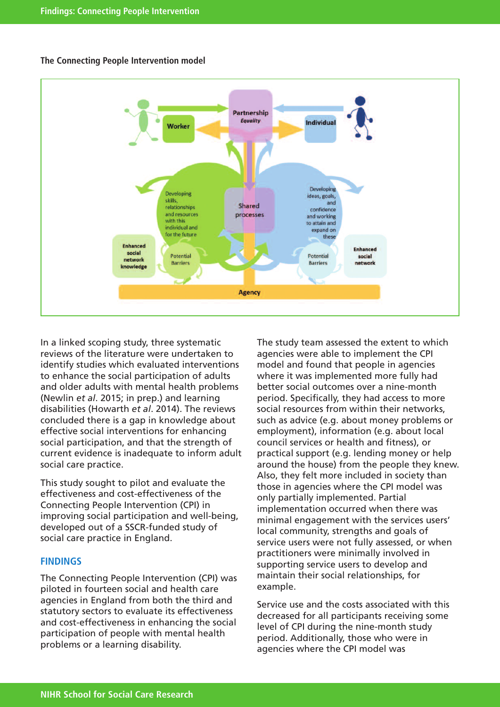

#### **The Connecting People Intervention model**

In a linked scoping study, three systematic reviews of the literature were undertaken to identify studies which evaluated interventions to enhance the social participation of adults and older adults with mental health problems (Newlin *et al*. 2015; in prep.) and learning disabilities (Howarth *et al*. 2014). The reviews concluded there is a gap in knowledge about effective social interventions for enhancing social participation, and that the strength of current evidence is inadequate to inform adult social care practice.

This study sought to pilot and evaluate the effectiveness and cost-effectiveness of the Connecting People Intervention (CPI) in improving social participation and well-being, developed out of a SSCR-funded study of social care practice in England.

#### **FINDINGS**

The Connecting People Intervention (CPI) was piloted in fourteen social and health care agencies in England from both the third and statutory sectors to evaluate its effectiveness and cost-effectiveness in enhancing the social participation of people with mental health problems or a learning disability.

The study team assessed the extent to which agencies were able to implement the CPI model and found that people in agencies where it was implemented more fully had better social outcomes over a nine-month period. Specifically, they had access to more social resources from within their networks, such as advice (e.g. about money problems or employment), information (e.g. about local council services or health and fitness), or practical support (e.g. lending money or help around the house) from the people they knew. Also, they felt more included in society than those in agencies where the CPI model was only partially implemented. Partial implementation occurred when there was minimal engagement with the services users' local community, strengths and goals of service users were not fully assessed, or when practitioners were minimally involved in supporting service users to develop and maintain their social relationships, for example.

Service use and the costs associated with this decreased for all participants receiving some level of CPI during the nine-month study period. Additionally, those who were in agencies where the CPI model was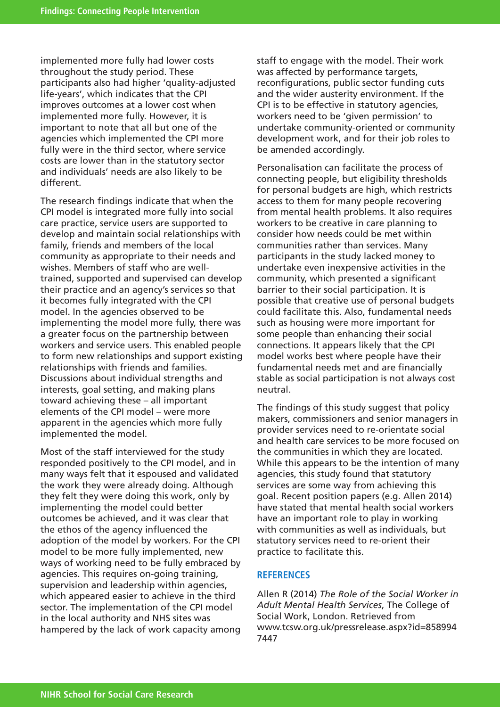implemented more fully had lower costs throughout the study period. These participants also had higher 'quality-adjusted life-years', which indicates that the CPI improves outcomes at a lower cost when implemented more fully. However, it is important to note that all but one of the agencies which implemented the CPI more fully were in the third sector, where service costs are lower than in the statutory sector and individuals' needs are also likely to be different.

The research findings indicate that when the CPI model is integrated more fully into social care practice, service users are supported to develop and maintain social relationships with family, friends and members of the local community as appropriate to their needs and wishes. Members of staff who are welltrained, supported and supervised can develop their practice and an agency's services so that it becomes fully integrated with the CPI model. In the agencies observed to be implementing the model more fully, there was a greater focus on the partnership between workers and service users. This enabled people to form new relationships and support existing relationships with friends and families. Discussions about individual strengths and interests, goal setting, and making plans toward achieving these – all important elements of the CPI model – were more apparent in the agencies which more fully implemented the model.

Most of the staff interviewed for the study responded positively to the CPI model, and in many ways felt that it espoused and validated the work they were already doing. Although they felt they were doing this work, only by implementing the model could better outcomes be achieved, and it was clear that the ethos of the agency influenced the adoption of the model by workers. For the CPI model to be more fully implemented, new ways of working need to be fully embraced by agencies. This requires on-going training, supervision and leadership within agencies, which appeared easier to achieve in the third sector. The implementation of the CPI model in the local authority and NHS sites was hampered by the lack of work capacity among

staff to engage with the model. Their work was affected by performance targets, reconfigurations, public sector funding cuts and the wider austerity environment. If the CPI is to be effective in statutory agencies, workers need to be 'given permission' to undertake community-oriented or community development work, and for their job roles to be amended accordingly.

Personalisation can facilitate the process of connecting people, but eligibility thresholds for personal budgets are high, which restricts access to them for many people recovering from mental health problems. It also requires workers to be creative in care planning to consider how needs could be met within communities rather than services. Many participants in the study lacked money to undertake even inexpensive activities in the community, which presented a significant barrier to their social participation. It is possible that creative use of personal budgets could facilitate this. Also, fundamental needs such as housing were more important for some people than enhancing their social connections. It appears likely that the CPI model works best where people have their fundamental needs met and are financially stable as social participation is not always cost neutral.

The findings of this study suggest that policy makers, commissioners and senior managers in provider services need to re-orientate social and health care services to be more focused on the communities in which they are located. While this appears to be the intention of many agencies, this study found that statutory services are some way from achieving this goal. Recent position papers (e.g. Allen 2014) have stated that mental health social workers have an important role to play in working with communities as well as individuals, but statutory services need to re-orient their practice to facilitate this.

#### **REFERENCES**

Allen R (2014) *The Role of the Social Worker in Adult Mental Health Services*, The College of Social Work, London. Retrieved from [www.tcsw.org.uk/pressrelease.aspx?id=858994](http://www.tcsw.org.uk/pressrelease.aspx?id=8589947447) 7447